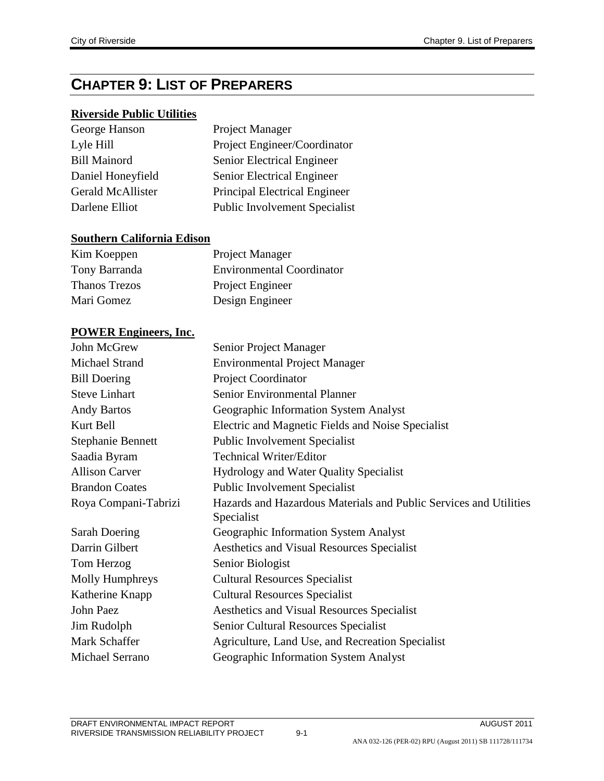## **CHAPTER 9: LIST OF PREPARERS**

## **Riverside Public Utilities**

| George Hanson            | Project Manager                      |
|--------------------------|--------------------------------------|
| Lyle Hill                | Project Engineer/Coordinator         |
| <b>Bill Mainord</b>      | Senior Electrical Engineer           |
| Daniel Honeyfield        | Senior Electrical Engineer           |
| <b>Gerald McAllister</b> | Principal Electrical Engineer        |
| Darlene Elliot           | <b>Public Involvement Specialist</b> |

## **Southern California Edison**

| Kim Koeppen   | Project Manager                  |
|---------------|----------------------------------|
| Tony Barranda | <b>Environmental Coordinator</b> |
| Thanos Trezos | Project Engineer                 |
| Mari Gomez    | Design Engineer                  |

## **POWER Engineers, Inc.**

| John McGrew              | Senior Project Manager                                                              |
|--------------------------|-------------------------------------------------------------------------------------|
| Michael Strand           | <b>Environmental Project Manager</b>                                                |
| <b>Bill Doering</b>      | Project Coordinator                                                                 |
| <b>Steve Linhart</b>     | Senior Environmental Planner                                                        |
| <b>Andy Bartos</b>       | Geographic Information System Analyst                                               |
| Kurt Bell                | Electric and Magnetic Fields and Noise Specialist                                   |
| <b>Stephanie Bennett</b> | <b>Public Involvement Specialist</b>                                                |
| Saadia Byram             | <b>Technical Writer/Editor</b>                                                      |
| <b>Allison Carver</b>    | <b>Hydrology and Water Quality Specialist</b>                                       |
| <b>Brandon Coates</b>    | <b>Public Involvement Specialist</b>                                                |
| Roya Compani-Tabrizi     | Hazards and Hazardous Materials and Public Services and Utilities<br>Specialist     |
| Sarah Doering            |                                                                                     |
| Darrin Gilbert           | Geographic Information System Analyst<br>Aesthetics and Visual Resources Specialist |
| Tom Herzog               | Senior Biologist                                                                    |
|                          |                                                                                     |
| Molly Humphreys          | <b>Cultural Resources Specialist</b>                                                |
| Katherine Knapp          | <b>Cultural Resources Specialist</b>                                                |
| John Paez                | Aesthetics and Visual Resources Specialist                                          |
| Jim Rudolph              | Senior Cultural Resources Specialist                                                |
| Mark Schaffer            | Agriculture, Land Use, and Recreation Specialist                                    |
| Michael Serrano          | Geographic Information System Analyst                                               |